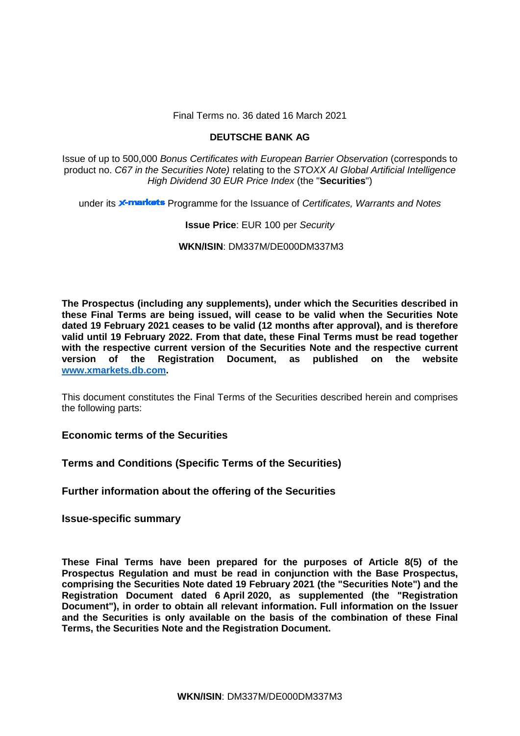Final Terms no. 36 dated 16 March 2021

# **DEUTSCHE BANK AG**

Issue of up to 500,000 *Bonus Certificates with European Barrier Observation* (corresponds to product no. *C67 in the Securities Note)* relating to the *STOXX AI Global Artificial Intelligence High Dividend 30 EUR Price Index* (the "**Securities**")

under its **X-markets** Programme for the Issuance of *Certificates, Warrants and Notes* 

# **Issue Price**: EUR 100 per *Security*

**WKN/ISIN**: DM337M/DE000DM337M3

**The Prospectus (including any supplements), under which the Securities described in these Final Terms are being issued, will cease to be valid when the Securities Note dated 19 February 2021 ceases to be valid (12 months after approval), and is therefore valid until 19 February 2022. From that date, these Final Terms must be read together with the respective current version of the Securities Note and the respective current version of the Registration Document, as published on the website [www.xmarkets.db.com.](http://www.xmarkets.db.com/)**

This document constitutes the Final Terms of the Securities described herein and comprises the following parts:

**Economic terms of the Securities**

**Terms and Conditions (Specific Terms of the Securities)**

**Further information about the offering of the Securities**

**Issue-specific summary**

**These Final Terms have been prepared for the purposes of Article 8(5) of the Prospectus Regulation and must be read in conjunction with the Base Prospectus, comprising the Securities Note dated 19 February 2021 (the "Securities Note") and the Registration Document dated 6 April 2020, as supplemented (the "Registration Document"), in order to obtain all relevant information. Full information on the Issuer and the Securities is only available on the basis of the combination of these Final Terms, the Securities Note and the Registration Document.**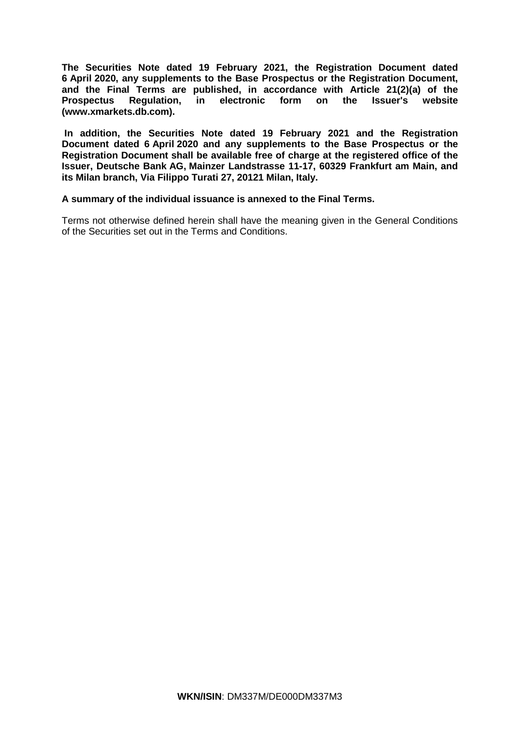**The Securities Note dated 19 February 2021, the Registration Document dated 6 April 2020, any supplements to the Base Prospectus or the Registration Document, and the Final Terms are published, in accordance with Article 21(2)(a) of the**  Regulation, in electronic form on the Issuer's website **[\(www.xmarkets.db.com\)](http://www.xmarkets.db.com/).**

**In addition, the Securities Note dated 19 February 2021 and the Registration Document dated 6 April 2020 and any supplements to the Base Prospectus or the Registration Document shall be available free of charge at the registered office of the Issuer, Deutsche Bank AG, Mainzer Landstrasse 11-17, 60329 Frankfurt am Main, and its Milan branch, Via Filippo Turati 27, 20121 Milan, Italy.**

## **A summary of the individual issuance is annexed to the Final Terms.**

Terms not otherwise defined herein shall have the meaning given in the General Conditions of the Securities set out in the Terms and Conditions.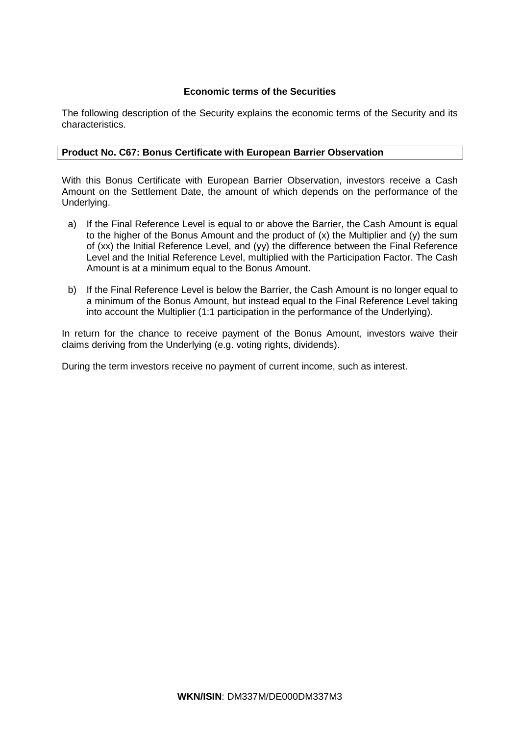# **Economic terms of the Securities**

The following description of the Security explains the economic terms of the Security and its characteristics.

# **Product No. C67: Bonus Certificate with European Barrier Observation**

With this Bonus Certificate with European Barrier Observation, investors receive a Cash Amount on the Settlement Date, the amount of which depends on the performance of the Underlying.

- a) If the Final Reference Level is equal to or above the Barrier, the Cash Amount is equal to the higher of the Bonus Amount and the product of (x) the Multiplier and (y) the sum of (xx) the Initial Reference Level, and (yy) the difference between the Final Reference Level and the Initial Reference Level, multiplied with the Participation Factor. The Cash Amount is at a minimum equal to the Bonus Amount.
- b) If the Final Reference Level is below the Barrier, the Cash Amount is no longer equal to a minimum of the Bonus Amount, but instead equal to the Final Reference Level taking into account the Multiplier (1:1 participation in the performance of the Underlying).

In return for the chance to receive payment of the Bonus Amount, investors waive their claims deriving from the Underlying (e.g. voting rights, dividends).

During the term investors receive no payment of current income, such as interest.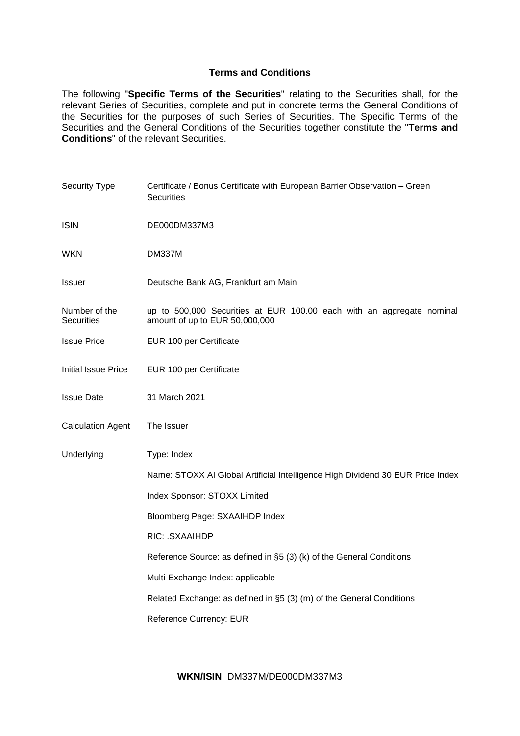# **Terms and Conditions**

The following "**Specific Terms of the Securities**" relating to the Securities shall, for the relevant Series of Securities, complete and put in concrete terms the General Conditions of the Securities for the purposes of such Series of Securities. The Specific Terms of the Securities and the General Conditions of the Securities together constitute the "**Terms and Conditions**" of the relevant Securities.

| Security Type                      | Certificate / Bonus Certificate with European Barrier Observation - Green<br><b>Securities</b>          |
|------------------------------------|---------------------------------------------------------------------------------------------------------|
| <b>ISIN</b>                        | DE000DM337M3                                                                                            |
| <b>WKN</b>                         | <b>DM337M</b>                                                                                           |
| <b>Issuer</b>                      | Deutsche Bank AG, Frankfurt am Main                                                                     |
| Number of the<br><b>Securities</b> | up to 500,000 Securities at EUR 100.00 each with an aggregate nominal<br>amount of up to EUR 50,000,000 |
| <b>Issue Price</b>                 | EUR 100 per Certificate                                                                                 |
| Initial Issue Price                | EUR 100 per Certificate                                                                                 |
| <b>Issue Date</b>                  | 31 March 2021                                                                                           |
| <b>Calculation Agent</b>           | The Issuer                                                                                              |
| Underlying                         | Type: Index                                                                                             |
|                                    | Name: STOXX AI Global Artificial Intelligence High Dividend 30 EUR Price Index                          |
|                                    | Index Sponsor: STOXX Limited                                                                            |
|                                    | Bloomberg Page: SXAAIHDP Index                                                                          |
|                                    | RIC: .SXAAIHDP                                                                                          |
|                                    | Reference Source: as defined in §5 (3) (k) of the General Conditions                                    |
|                                    | Multi-Exchange Index: applicable                                                                        |
|                                    | Related Exchange: as defined in §5 (3) (m) of the General Conditions                                    |
|                                    | Reference Currency: EUR                                                                                 |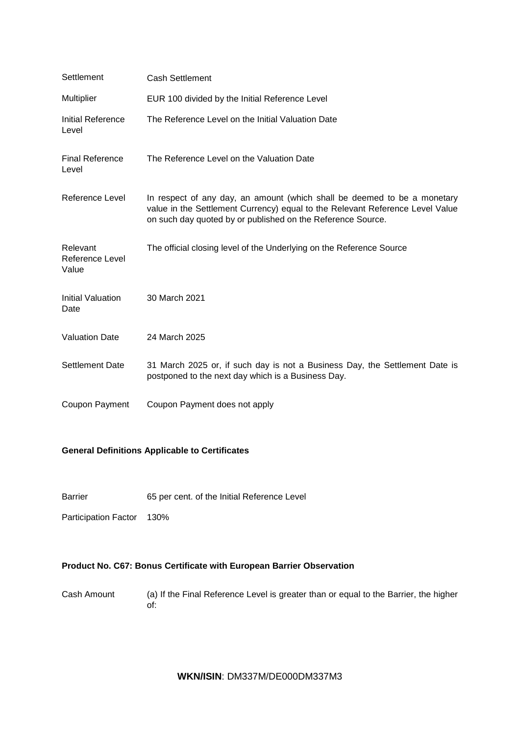| Settlement                           | <b>Cash Settlement</b>                                                                                                                                                                                                   |
|--------------------------------------|--------------------------------------------------------------------------------------------------------------------------------------------------------------------------------------------------------------------------|
| Multiplier                           | EUR 100 divided by the Initial Reference Level                                                                                                                                                                           |
| Initial Reference<br>Level           | The Reference Level on the Initial Valuation Date                                                                                                                                                                        |
| <b>Final Reference</b><br>Level      | The Reference Level on the Valuation Date                                                                                                                                                                                |
| Reference Level                      | In respect of any day, an amount (which shall be deemed to be a monetary<br>value in the Settlement Currency) equal to the Relevant Reference Level Value<br>on such day quoted by or published on the Reference Source. |
| Relevant<br>Reference Level<br>Value | The official closing level of the Underlying on the Reference Source                                                                                                                                                     |
| <b>Initial Valuation</b><br>Date     | 30 March 2021                                                                                                                                                                                                            |
| <b>Valuation Date</b>                | 24 March 2025                                                                                                                                                                                                            |
| <b>Settlement Date</b>               | 31 March 2025 or, if such day is not a Business Day, the Settlement Date is<br>postponed to the next day which is a Business Day.                                                                                        |
| Coupon Payment                       | Coupon Payment does not apply                                                                                                                                                                                            |

# **General Definitions Applicable to Certificates**

Barrier 65 per cent. of the Initial Reference Level

Participation Factor 130%

# **Product No. C67: Bonus Certificate with European Barrier Observation**

Cash Amount (a) If the Final Reference Level is greater than or equal to the Barrier, the higher of:

# **WKN/ISIN**: DM337M/DE000DM337M3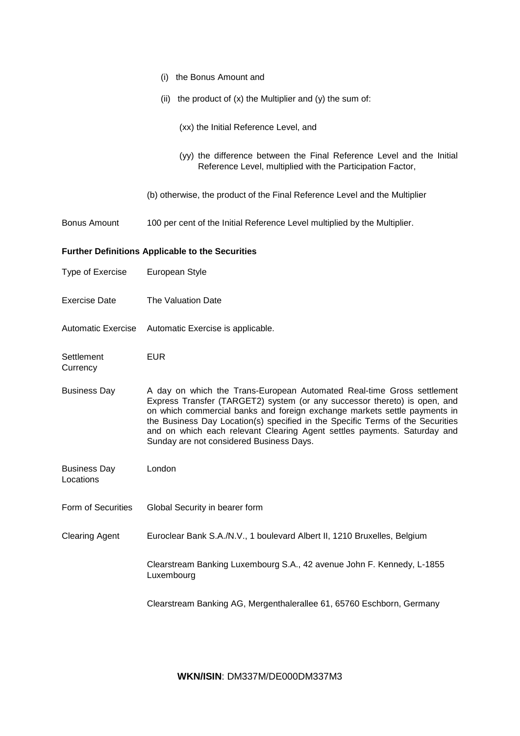|                                  | the Bonus Amount and<br>(i)                                                                                                                                                                                                                                                                                                                                                                                                                |
|----------------------------------|--------------------------------------------------------------------------------------------------------------------------------------------------------------------------------------------------------------------------------------------------------------------------------------------------------------------------------------------------------------------------------------------------------------------------------------------|
|                                  | (ii) the product of $(x)$ the Multiplier and $(y)$ the sum of:                                                                                                                                                                                                                                                                                                                                                                             |
|                                  | (xx) the Initial Reference Level, and                                                                                                                                                                                                                                                                                                                                                                                                      |
|                                  | (yy) the difference between the Final Reference Level and the Initial<br>Reference Level, multiplied with the Participation Factor,                                                                                                                                                                                                                                                                                                        |
|                                  | (b) otherwise, the product of the Final Reference Level and the Multiplier                                                                                                                                                                                                                                                                                                                                                                 |
| <b>Bonus Amount</b>              | 100 per cent of the Initial Reference Level multiplied by the Multiplier.                                                                                                                                                                                                                                                                                                                                                                  |
|                                  | <b>Further Definitions Applicable to the Securities</b>                                                                                                                                                                                                                                                                                                                                                                                    |
| Type of Exercise                 | European Style                                                                                                                                                                                                                                                                                                                                                                                                                             |
| <b>Exercise Date</b>             | The Valuation Date                                                                                                                                                                                                                                                                                                                                                                                                                         |
| <b>Automatic Exercise</b>        | Automatic Exercise is applicable.                                                                                                                                                                                                                                                                                                                                                                                                          |
|                                  |                                                                                                                                                                                                                                                                                                                                                                                                                                            |
| Settlement<br>Currency           | <b>EUR</b>                                                                                                                                                                                                                                                                                                                                                                                                                                 |
| <b>Business Day</b>              | A day on which the Trans-European Automated Real-time Gross settlement<br>Express Transfer (TARGET2) system (or any successor thereto) is open, and<br>on which commercial banks and foreign exchange markets settle payments in<br>the Business Day Location(s) specified in the Specific Terms of the Securities<br>and on which each relevant Clearing Agent settles payments. Saturday and<br>Sunday are not considered Business Days. |
| <b>Business Day</b><br>Locations | London                                                                                                                                                                                                                                                                                                                                                                                                                                     |
| Form of Securities               | Global Security in bearer form                                                                                                                                                                                                                                                                                                                                                                                                             |
| <b>Clearing Agent</b>            | Euroclear Bank S.A./N.V., 1 boulevard Albert II, 1210 Bruxelles, Belgium                                                                                                                                                                                                                                                                                                                                                                   |
|                                  | Clearstream Banking Luxembourg S.A., 42 avenue John F. Kennedy, L-1855<br>Luxembourg                                                                                                                                                                                                                                                                                                                                                       |

**WKN/ISIN**: DM337M/DE000DM337M3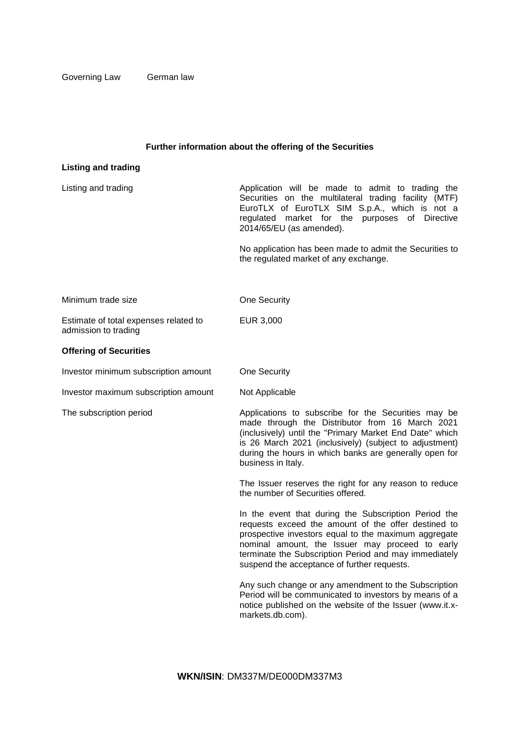Governing Law German law

# **Further information about the offering of the Securities**

| <b>Listing and trading</b>                                    |                                                                                                                                                                                                                                                                                                                                |
|---------------------------------------------------------------|--------------------------------------------------------------------------------------------------------------------------------------------------------------------------------------------------------------------------------------------------------------------------------------------------------------------------------|
| Listing and trading                                           | Application will be made to admit to trading the<br>Securities on the multilateral trading facility (MTF)<br>EuroTLX of EuroTLX SIM S.p.A., which is not a<br>regulated market for the purposes of Directive<br>2014/65/EU (as amended).                                                                                       |
|                                                               | No application has been made to admit the Securities to<br>the regulated market of any exchange.                                                                                                                                                                                                                               |
| Minimum trade size                                            | One Security                                                                                                                                                                                                                                                                                                                   |
| Estimate of total expenses related to<br>admission to trading | EUR 3,000                                                                                                                                                                                                                                                                                                                      |
| <b>Offering of Securities</b>                                 |                                                                                                                                                                                                                                                                                                                                |
| Investor minimum subscription amount                          | One Security                                                                                                                                                                                                                                                                                                                   |
| Investor maximum subscription amount                          | Not Applicable                                                                                                                                                                                                                                                                                                                 |
| The subscription period                                       | Applications to subscribe for the Securities may be<br>made through the Distributor from 16 March 2021<br>(inclusively) until the "Primary Market End Date" which<br>is 26 March 2021 (inclusively) (subject to adjustment)<br>during the hours in which banks are generally open for<br>business in Italy.                    |
|                                                               | The Issuer reserves the right for any reason to reduce<br>the number of Securities offered.                                                                                                                                                                                                                                    |
|                                                               | In the event that during the Subscription Period the<br>requests exceed the amount of the offer destined to<br>prospective investors equal to the maximum aggregate<br>nominal amount, the Issuer may proceed to early<br>terminate the Subscription Period and may immediately<br>suspend the acceptance of further requests. |
|                                                               | Any such change or any amendment to the Subscription<br>Period will be communicated to investors by means of a<br>notice published on the website of the Issuer (www.it.x-<br>markets.db.com).                                                                                                                                 |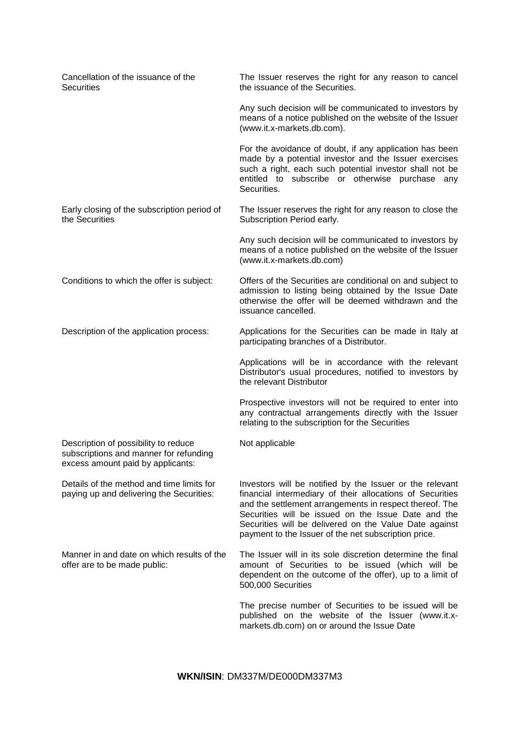| Cancellation of the issuance of the<br><b>Securities</b>                                                            | The Issuer reserves the right for any reason to cancel<br>the issuance of the Securities.                                                                                                                                                                                                                                                                 |
|---------------------------------------------------------------------------------------------------------------------|-----------------------------------------------------------------------------------------------------------------------------------------------------------------------------------------------------------------------------------------------------------------------------------------------------------------------------------------------------------|
|                                                                                                                     | Any such decision will be communicated to investors by<br>means of a notice published on the website of the Issuer<br>(www.it.x-markets.db.com).                                                                                                                                                                                                          |
|                                                                                                                     | For the avoidance of doubt, if any application has been<br>made by a potential investor and the Issuer exercises<br>such a right, each such potential investor shall not be<br>entitled to subscribe or otherwise purchase any<br>Securities.                                                                                                             |
| Early closing of the subscription period of<br>the Securities                                                       | The Issuer reserves the right for any reason to close the<br>Subscription Period early.                                                                                                                                                                                                                                                                   |
|                                                                                                                     | Any such decision will be communicated to investors by<br>means of a notice published on the website of the Issuer<br>(www.it.x-markets.db.com)                                                                                                                                                                                                           |
| Conditions to which the offer is subject:                                                                           | Offers of the Securities are conditional on and subject to<br>admission to listing being obtained by the Issue Date<br>otherwise the offer will be deemed withdrawn and the<br>issuance cancelled.                                                                                                                                                        |
| Description of the application process:                                                                             | Applications for the Securities can be made in Italy at<br>participating branches of a Distributor.                                                                                                                                                                                                                                                       |
|                                                                                                                     | Applications will be in accordance with the relevant<br>Distributor's usual procedures, notified to investors by<br>the relevant Distributor                                                                                                                                                                                                              |
|                                                                                                                     | Prospective investors will not be required to enter into<br>any contractual arrangements directly with the Issuer<br>relating to the subscription for the Securities                                                                                                                                                                                      |
| Description of possibility to reduce<br>subscriptions and manner for refunding<br>excess amount paid by applicants: | Not applicable                                                                                                                                                                                                                                                                                                                                            |
| Details of the method and time limits for<br>paying up and delivering the Securities:                               | Investors will be notified by the Issuer or the relevant<br>financial intermediary of their allocations of Securities<br>and the settlement arrangements in respect thereof. The<br>Securities will be issued on the Issue Date and the<br>Securities will be delivered on the Value Date against<br>payment to the Issuer of the net subscription price. |
| Manner in and date on which results of the<br>offer are to be made public:                                          | The Issuer will in its sole discretion determine the final<br>amount of Securities to be issued (which will be<br>dependent on the outcome of the offer), up to a limit of<br>500,000 Securities                                                                                                                                                          |
|                                                                                                                     | The precise number of Securities to be issued will be<br>published on the website of the Issuer (www.it.x-<br>markets.db.com) on or around the Issue Date                                                                                                                                                                                                 |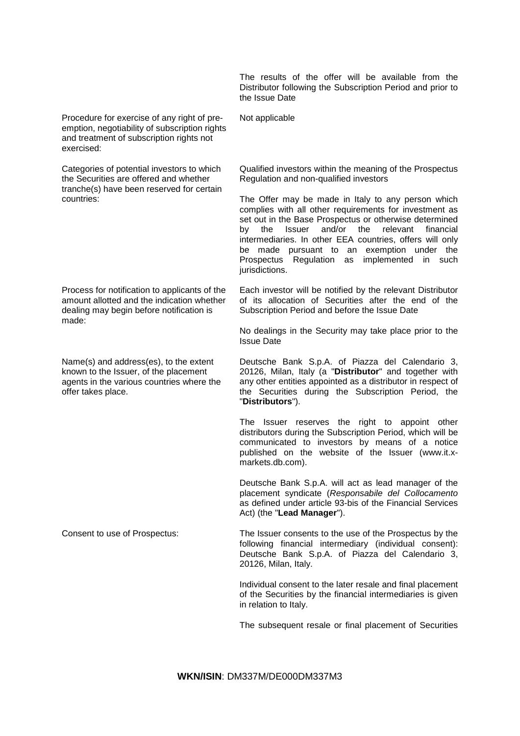The results of the offer will be available from the Distributor following the Subscription Period and prior to the Issue Date

Procedure for exercise of any right of pre-

emption, negotiability of subscription rights and treatment of subscription rights not exercised:

Categories of potential investors to which the Securities are offered and whether tranche(s) have been reserved for certain countries:

Process for notification to applicants of the amount allotted and the indication whether dealing may begin before notification is made:

Name(s) and address(es), to the extent known to the Issuer, of the placement agents in the various countries where the offer takes place.

Not applicable

Qualified investors within the meaning of the Prospectus Regulation and non-qualified investors

The Offer may be made in Italy to any person which complies with all other requirements for investment as set out in the Base Prospectus or otherwise determined by the Issuer and/or the relevant financial intermediaries. In other EEA countries, offers will only be made pursuant to an exemption under the Prospectus Regulation as implemented in such jurisdictions.

Each investor will be notified by the relevant Distributor of its allocation of Securities after the end of the Subscription Period and before the Issue Date

No dealings in the Security may take place prior to the Issue Date

Deutsche Bank S.p.A. of Piazza del Calendario 3, 20126, Milan, Italy (a "**Distributor**" and together with any other entities appointed as a distributor in respect of the Securities during the Subscription Period, the "**Distributors**").

The Issuer reserves the right to appoint other distributors during the Subscription Period, which will be communicated to investors by means of a notice published on the website of the Issuer (www.it.xmarkets.db.com).

Deutsche Bank S.p.A. will act as lead manager of the placement syndicate (*Responsabile del Collocamento*  as defined under article 93-bis of the Financial Services Act) (the "**Lead Manager**").

Consent to use of Prospectus: The Issuer consents to the use of the Prospectus by the following financial intermediary (individual consent): Deutsche Bank S.p.A. of Piazza del Calendario 3, 20126, Milan, Italy.

> Individual consent to the later resale and final placement of the Securities by the financial intermediaries is given in relation to Italy.

> The subsequent resale or final placement of Securities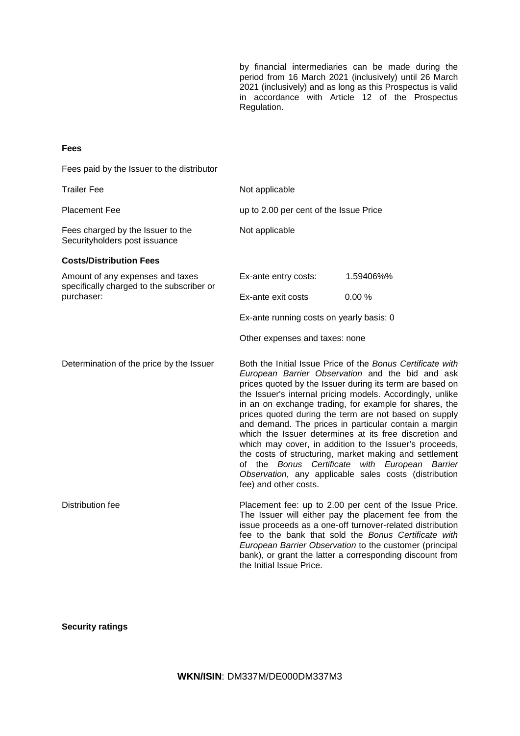by financial intermediaries can be made during the period from 16 March 2021 (inclusively) until 26 March 2021 (inclusively) and as long as this Prospectus is valid in accordance with Article 12 of the Prospectus Regulation.

## **Fees**

Fees paid by the Issuer to the distributor

| <b>Trailer Fee</b>                                                            | Not applicable                           |                                                                                                                                                                                                                                                                                                                                                                                                                                                                                                                                                                                                                                                                                                              |  |
|-------------------------------------------------------------------------------|------------------------------------------|--------------------------------------------------------------------------------------------------------------------------------------------------------------------------------------------------------------------------------------------------------------------------------------------------------------------------------------------------------------------------------------------------------------------------------------------------------------------------------------------------------------------------------------------------------------------------------------------------------------------------------------------------------------------------------------------------------------|--|
| <b>Placement Fee</b>                                                          | up to 2.00 per cent of the Issue Price   |                                                                                                                                                                                                                                                                                                                                                                                                                                                                                                                                                                                                                                                                                                              |  |
| Fees charged by the Issuer to the<br>Securityholders post issuance            | Not applicable                           |                                                                                                                                                                                                                                                                                                                                                                                                                                                                                                                                                                                                                                                                                                              |  |
| <b>Costs/Distribution Fees</b>                                                |                                          |                                                                                                                                                                                                                                                                                                                                                                                                                                                                                                                                                                                                                                                                                                              |  |
| Amount of any expenses and taxes<br>specifically charged to the subscriber or | Ex-ante entry costs:                     | 1.59406%%                                                                                                                                                                                                                                                                                                                                                                                                                                                                                                                                                                                                                                                                                                    |  |
| purchaser:                                                                    | Ex-ante exit costs                       | 0.00%                                                                                                                                                                                                                                                                                                                                                                                                                                                                                                                                                                                                                                                                                                        |  |
|                                                                               | Ex-ante running costs on yearly basis: 0 |                                                                                                                                                                                                                                                                                                                                                                                                                                                                                                                                                                                                                                                                                                              |  |
|                                                                               | Other expenses and taxes: none           |                                                                                                                                                                                                                                                                                                                                                                                                                                                                                                                                                                                                                                                                                                              |  |
| Determination of the price by the Issuer                                      | fee) and other costs.                    | Both the Initial Issue Price of the Bonus Certificate with<br>European Barrier Observation and the bid and ask<br>prices quoted by the Issuer during its term are based on<br>the Issuer's internal pricing models. Accordingly, unlike<br>in an on exchange trading, for example for shares, the<br>prices quoted during the term are not based on supply<br>and demand. The prices in particular contain a margin<br>which the Issuer determines at its free discretion and<br>which may cover, in addition to the Issuer's proceeds,<br>the costs of structuring, market making and settlement<br>of the Bonus Certificate with European Barrier<br>Observation, any applicable sales costs (distribution |  |
| Distribution fee                                                              | the Initial Issue Price.                 | Placement fee: up to 2.00 per cent of the Issue Price.<br>The Issuer will either pay the placement fee from the<br>issue proceeds as a one-off turnover-related distribution<br>fee to the bank that sold the Bonus Certificate with<br>European Barrier Observation to the customer (principal<br>bank), or grant the latter a corresponding discount from                                                                                                                                                                                                                                                                                                                                                  |  |

# **Security ratings**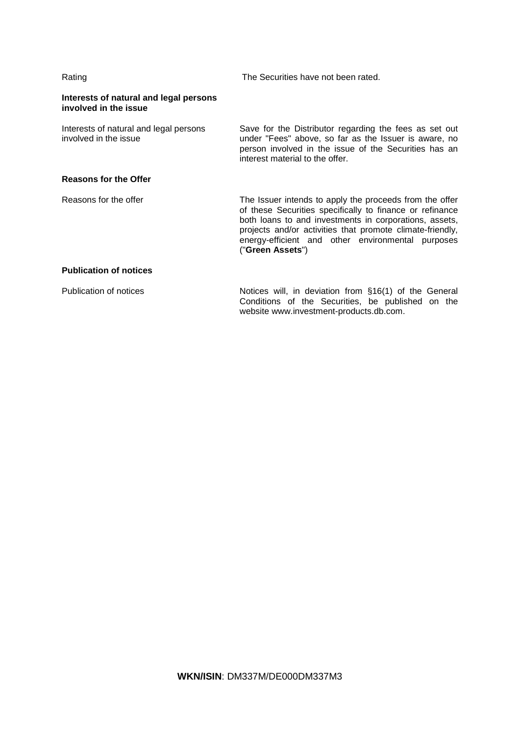| Rating                                                          | The Securities have not been rated.                                                                                                                                                                                                                                                                                 |
|-----------------------------------------------------------------|---------------------------------------------------------------------------------------------------------------------------------------------------------------------------------------------------------------------------------------------------------------------------------------------------------------------|
| Interests of natural and legal persons<br>involved in the issue |                                                                                                                                                                                                                                                                                                                     |
| Interests of natural and legal persons<br>involved in the issue | Save for the Distributor regarding the fees as set out<br>under "Fees" above, so far as the Issuer is aware, no<br>person involved in the issue of the Securities has an<br>interest material to the offer.                                                                                                         |
| <b>Reasons for the Offer</b>                                    |                                                                                                                                                                                                                                                                                                                     |
| Reasons for the offer                                           | The Issuer intends to apply the proceeds from the offer<br>of these Securities specifically to finance or refinance<br>both loans to and investments in corporations, assets,<br>projects and/or activities that promote climate-friendly,<br>energy-efficient and other environmental purposes<br>("Green Assets") |
| <b>Publication of notices</b>                                   |                                                                                                                                                                                                                                                                                                                     |
| Publication of notices                                          | Notices will, in deviation from §16(1) of the General<br>Conditions of the Securities, be published on the<br>website www.investment-products.db.com.                                                                                                                                                               |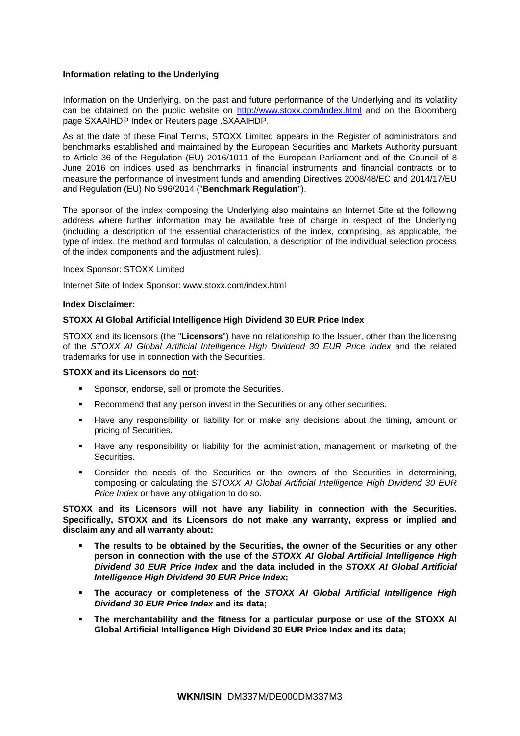## **Information relating to the Underlying**

Information on the Underlying, on the past and future performance of the Underlying and its volatility can be obtained on the public website on<http://www.stoxx.com/index.html> and on the Bloomberg page SXAAIHDP Index or Reuters page .SXAAIHDP.

As at the date of these Final Terms, STOXX Limited appears in the Register of administrators and benchmarks established and maintained by the European Securities and Markets Authority pursuant to Article 36 of the Regulation (EU) 2016/1011 of the European Parliament and of the Council of 8 June 2016 on indices used as benchmarks in financial instruments and financial contracts or to measure the performance of investment funds and amending Directives 2008/48/EC and 2014/17/EU and Regulation (EU) No 596/2014 ("**Benchmark Regulation**").

The sponsor of the index composing the Underlying also maintains an Internet Site at the following address where further information may be available free of charge in respect of the Underlying (including a description of the essential characteristics of the index, comprising, as applicable, the type of index, the method and formulas of calculation, a description of the individual selection process of the index components and the adjustment rules).

Index Sponsor: STOXX Limited

Internet Site of Index Sponsor: [www.stoxx.com/index.html](http://www.stoxx.com/index.html) 

## **Index Disclaimer:**

## **STOXX AI Global Artificial Intelligence High Dividend 30 EUR Price Index**

STOXX and its licensors (the "**Licensors**") have no relationship to the Issuer, other than the licensing of the *STOXX AI Global Artificial Intelligence High Dividend 30 EUR Price Index* and the related trademarks for use in connection with the Securities.

### **STOXX and its Licensors do not:**

- Sponsor, endorse, sell or promote the Securities.
- Recommend that any person invest in the Securities or any other securities.
- Have any responsibility or liability for or make any decisions about the timing, amount or pricing of Securities.
- Have any responsibility or liability for the administration, management or marketing of the Securities.
- Consider the needs of the Securities or the owners of the Securities in determining, composing or calculating the *STOXX AI Global Artificial Intelligence High Dividend 30 EUR Price Index* or have any obligation to do so.

## **STOXX and its Licensors will not have any liability in connection with the Securities. Specifically, STOXX and its Licensors do not make any warranty, express or implied and disclaim any and all warranty about:**

- **The results to be obtained by the Securities, the owner of the Securities or any other person in connection with the use of the** *STOXX AI Global Artificial Intelligence High Dividend 30 EUR Price Index* **and the data included in the** *STOXX AI Global Artificial Intelligence High Dividend 30 EUR Price Index***;**
- **The accuracy or completeness of the** *STOXX AI Global Artificial Intelligence High Dividend 30 EUR Price Index* **and its data;**
- **The merchantability and the fitness for a particular purpose or use of the STOXX AI Global Artificial Intelligence High Dividend 30 EUR Price Index and its data;**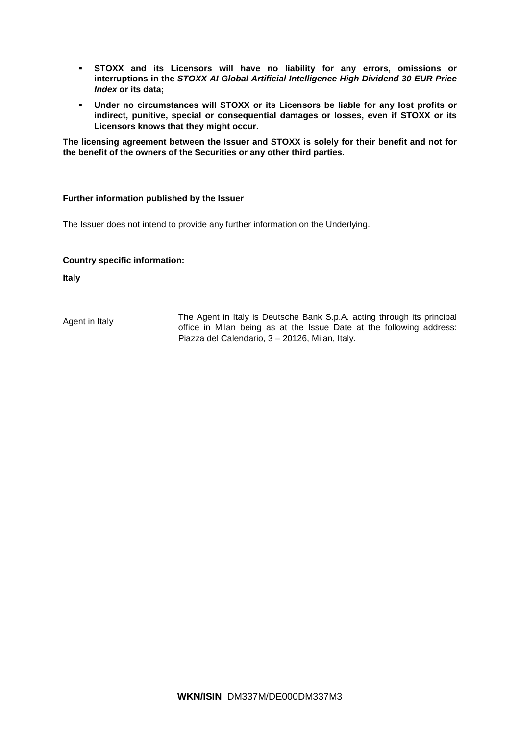- **STOXX and its Licensors will have no liability for any errors, omissions or interruptions in the** *STOXX AI Global Artificial Intelligence High Dividend 30 EUR Price Index* **or its data;**
- **Under no circumstances will STOXX or its Licensors be liable for any lost profits or indirect, punitive, special or consequential damages or losses, even if STOXX or its Licensors knows that they might occur.**

**The licensing agreement between the Issuer and STOXX is solely for their benefit and not for the benefit of the owners of the Securities or any other third parties.**

## **Further information published by the Issuer**

The Issuer does not intend to provide any further information on the Underlying.

## **Country specific information:**

**Italy**

Agent in Italy The Agent in Italy is Deutsche Bank S.p.A. acting through its principal office in Milan being as at the Issue Date at the following address: Piazza del Calendario, 3 – 20126, Milan, Italy.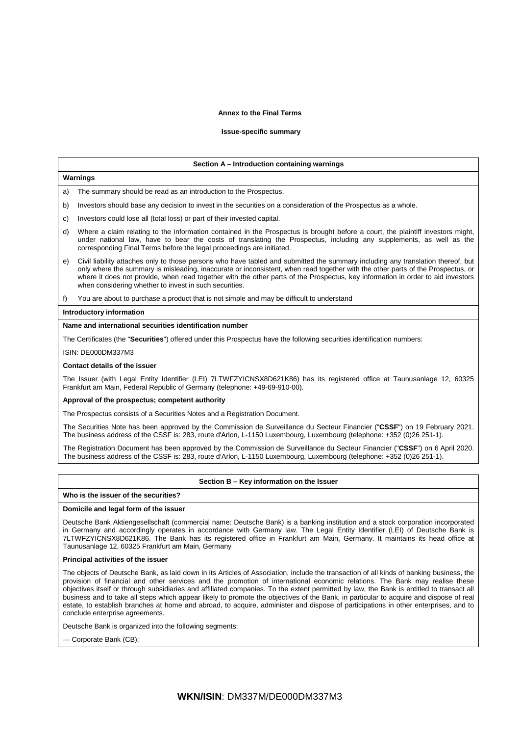### **Annex to the Final Terms**

#### **Issue-specific summary**

#### **Section A – Introduction containing warnings**

### a) The summary should be read as an introduction to the Prospectus.

- b) Investors should base any decision to invest in the securities on a consideration of the Prospectus as a whole.
- c) Investors could lose all (total loss) or part of their invested capital.
- d) Where a claim relating to the information contained in the Prospectus is brought before a court, the plaintiff investors might, under national law, have to bear the costs of translating the Prospectus, including any supplements, as well as the corresponding Final Terms before the legal proceedings are initiated.
- e) Civil liability attaches only to those persons who have tabled and submitted the summary including any translation thereof, but only where the summary is misleading, inaccurate or inconsistent, when read together with the other parts of the Prospectus, or where it does not provide, when read together with the other parts of the Prospectus, key information in order to aid investors when considering whether to invest in such securities.

f) You are about to purchase a product that is not simple and may be difficult to understand

### **Introductory information**

**Warnings**

### **Name and international securities identification number**

The Certificates (the "**Securities**") offered under this Prospectus have the following securities identification numbers:

#### ISIN: DE000DM337M3

#### **Contact details of the issuer**

The Issuer (with Legal Entity Identifier (LEI) 7LTWFZYICNSX8D621K86) has its registered office at Taunusanlage 12, 60325 Frankfurt am Main, Federal Republic of Germany (telephone: +49-69-910-00).

### **Approval of the prospectus; competent authority**

The Prospectus consists of a Securities Notes and a Registration Document.

The Securities Note has been approved by the Commission de Surveillance du Secteur Financier ("**CSSF**") on 19 February 2021. The business address of the CSSF is: 283, route d'Arlon, L-1150 Luxembourg, Luxembourg (telephone: +352 (0)26 251-1).

The Registration Document has been approved by the Commission de Surveillance du Secteur Financier ("**CSSF**") on 6 April 2020. The business address of the CSSF is: 283, route d'Arlon, L-1150 Luxembourg, Luxembourg (telephone: +352 (0)26 251-1).

### **Section B – Key information on the Issuer**

### **Who is the issuer of the securities?**

#### **Domicile and legal form of the issuer**

Deutsche Bank Aktiengesellschaft (commercial name: Deutsche Bank) is a banking institution and a stock corporation incorporated in Germany and accordingly operates in accordance with Germany law. The Legal Entity Identifier (LEI) of Deutsche Bank is 7LTWFZYICNSX8D621K86. The Bank has its registered office in Frankfurt am Main, Germany. It maintains its head office at Taunusanlage 12, 60325 Frankfurt am Main, Germany

### **Principal activities of the issuer**

The objects of Deutsche Bank, as laid down in its Articles of Association, include the transaction of all kinds of banking business, the provision of financial and other services and the promotion of international economic relations. The Bank may realise these objectives itself or through subsidiaries and affiliated companies. To the extent permitted by law, the Bank is entitled to transact all business and to take all steps which appear likely to promote the objectives of the Bank, in particular to acquire and dispose of real estate, to establish branches at home and abroad, to acquire, administer and dispose of participations in other enterprises, and to conclude enterprise agreements.

Deutsche Bank is organized into the following segments:

— Corporate Bank (CB);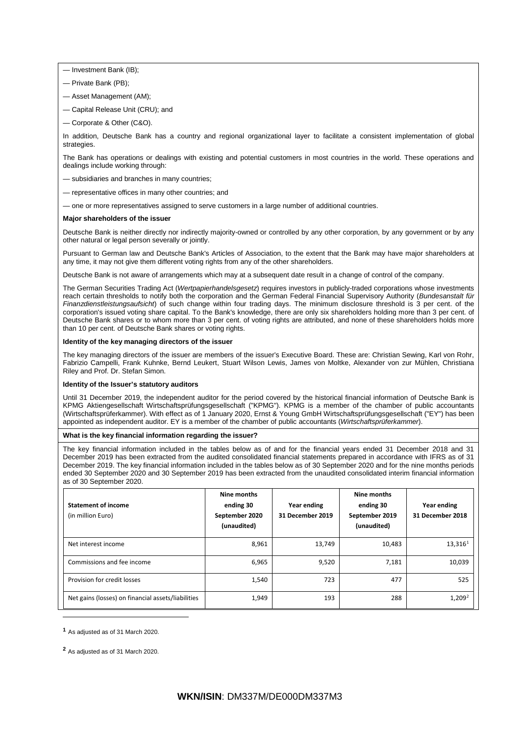— Investment Bank (IB);

- Private Bank (PB);
- Asset Management (AM);
- Capital Release Unit (CRU); and
- Corporate & Other (C&O).

In addition, Deutsche Bank has a country and regional organizational layer to facilitate a consistent implementation of global strategies.

The Bank has operations or dealings with existing and potential customers in most countries in the world. These operations and dealings include working through:

- subsidiaries and branches in many countries;
- representative offices in many other countries; and
- one or more representatives assigned to serve customers in a large number of additional countries.

#### **Major shareholders of the issuer**

Deutsche Bank is neither directly nor indirectly majority-owned or controlled by any other corporation, by any government or by any other natural or legal person severally or jointly.

Pursuant to German law and Deutsche Bank's Articles of Association, to the extent that the Bank may have major shareholders at any time, it may not give them different voting rights from any of the other shareholders.

Deutsche Bank is not aware of arrangements which may at a subsequent date result in a change of control of the company.

The German Securities Trading Act (*Wertpapierhandelsgesetz*) requires investors in publicly-traded corporations whose investments reach certain thresholds to notify both the corporation and the German Federal Financial Supervisory Authority (*Bundesanstalt für Finanzdienstleistungsaufsicht*) of such change within four trading days. The minimum disclosure threshold is 3 per cent. of the corporation's issued voting share capital. To the Bank's knowledge, there are only six shareholders holding more than 3 per cent. of Deutsche Bank shares or to whom more than 3 per cent. of voting rights are attributed, and none of these shareholders holds more than 10 per cent. of Deutsche Bank shares or voting rights.

### **Identity of the key managing directors of the issuer**

The key managing directors of the issuer are members of the issuer's Executive Board. These are: Christian Sewing, Karl von Rohr, Fabrizio Campelli, Frank Kuhnke, Bernd Leukert, Stuart Wilson Lewis, James von Moltke, Alexander von zur Mühlen, Christiana Riley and Prof. Dr. Stefan Simon.

#### **Identity of the Issuer's statutory auditors**

Until 31 December 2019, the independent auditor for the period covered by the historical financial information of Deutsche Bank is KPMG Aktiengesellschaft Wirtschaftsprüfungsgesellschaft ("KPMG"). KPMG is a member of the chamber of public accountants (Wirtschaftsprüferkammer). With effect as of 1 January 2020, Ernst & Young GmbH Wirtschaftsprüfungsgesellschaft ("EY") has been appointed as independent auditor. EY is a member of the chamber of public accountants (*Wirtschaftsprüferkammer*).

### **What is the key financial information regarding the issuer?**

The key financial information included in the tables below as of and for the financial years ended 31 December 2018 and 31 December 2019 has been extracted from the audited consolidated financial statements prepared in accordance with IFRS as of 31 December 2019. The key financial information included in the tables below as of 30 September 2020 and for the nine months periods ended 30 September 2020 and 30 September 2019 has been extracted from the unaudited consolidated interim financial information as of 30 September 2020.

| <b>Statement of income</b><br>(in million Euro)    | Nine months<br>ending 30<br>September 2020<br>(unaudited) | Year ending<br>31 December 2019 | Nine months<br>ending 30<br>September 2019<br>(unaudited) | Year ending<br>31 December 2018 |
|----------------------------------------------------|-----------------------------------------------------------|---------------------------------|-----------------------------------------------------------|---------------------------------|
| Net interest income                                | 8,961                                                     | 13,749                          | 10,483                                                    | 13,316 <sup>1</sup>             |
| Commissions and fee income                         | 6,965                                                     | 9,520                           | 7,181                                                     | 10,039                          |
| Provision for credit losses                        | 1,540                                                     | 723                             | 477                                                       | 525                             |
| Net gains (losses) on financial assets/liabilities | 1,949                                                     | 193                             | 288                                                       | 1,209 <sup>2</sup>              |

<span id="page-14-0"></span>**<sup>1</sup>** As adjusted as of 31 March 2020.

 $\overline{\phantom{a}}$ 

<span id="page-14-1"></span>**<sup>2</sup>** As adjusted as of 31 March 2020.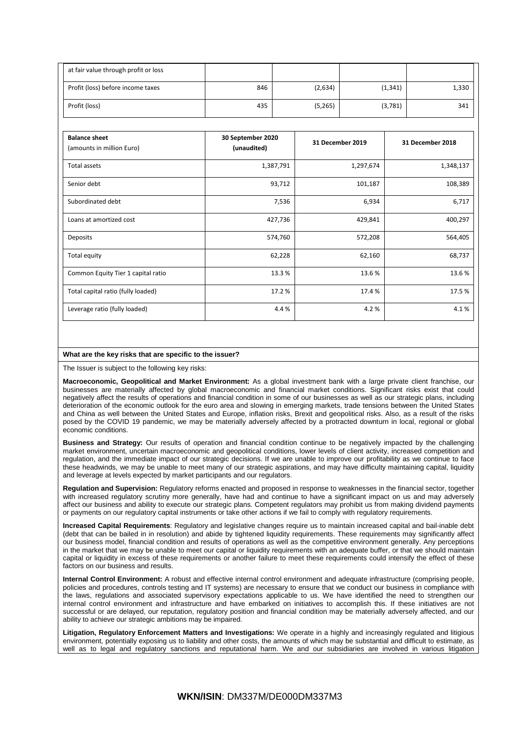| at fair value through profit or loss |     |         |          |       |
|--------------------------------------|-----|---------|----------|-------|
| Profit (loss) before income taxes    | 846 | (2,634) | (1, 341) | 1,330 |
| Profit (loss)                        | 435 | (5,265) | (3,781)  | 341   |

| <b>Balance sheet</b><br>(amounts in million Euro) | 30 September 2020<br>(unaudited) | 31 December 2019 | 31 December 2018 |
|---------------------------------------------------|----------------------------------|------------------|------------------|
| Total assets                                      | 1,387,791                        | 1,297,674        | 1,348,137        |
| Senior debt                                       | 93,712                           | 101,187          | 108,389          |
| Subordinated debt                                 | 7,536                            | 6,934            | 6,717            |
| Loans at amortized cost                           | 427,736                          | 429,841          | 400,297          |
| Deposits                                          | 574,760                          | 572,208          | 564,405          |
| Total equity                                      | 62,228                           | 62,160           | 68,737           |
| Common Equity Tier 1 capital ratio                | 13.3%                            | 13.6%            | 13.6%            |
| Total capital ratio (fully loaded)                | 17.2 %                           | 17.4 %           | 17.5 %           |
| Leverage ratio (fully loaded)                     | 4.4 %                            | 4.2%             | 4.1%             |

### **What are the key risks that are specific to the issuer?**

The Issuer is subject to the following key risks:

**Macroeconomic, Geopolitical and Market Environment:** As a global investment bank with a large private client franchise, our businesses are materially affected by global macroeconomic and financial market conditions. Significant risks exist that could negatively affect the results of operations and financial condition in some of our businesses as well as our strategic plans, including deterioration of the economic outlook for the euro area and slowing in emerging markets, trade tensions between the United States and China as well between the United States and Europe, inflation risks, Brexit and geopolitical risks. Also, as a result of the risks posed by the COVID 19 pandemic, we may be materially adversely affected by a protracted downturn in local, regional or global economic conditions.

**Business and Strategy:** Our results of operation and financial condition continue to be negatively impacted by the challenging market environment, uncertain macroeconomic and geopolitical conditions, lower levels of client activity, increased competition and regulation, and the immediate impact of our strategic decisions. If we are unable to improve our profitability as we continue to face these headwinds, we may be unable to meet many of our strategic aspirations, and may have difficulty maintaining capital, liquidity and leverage at levels expected by market participants and our regulators.

**Regulation and Supervision:** Regulatory reforms enacted and proposed in response to weaknesses in the financial sector, together with increased regulatory scrutiny more generally, have had and continue to have a significant impact on us and may adversely affect our business and ability to execute our strategic plans. Competent regulators may prohibit us from making dividend payments or payments on our regulatory capital instruments or take other actions if we fail to comply with regulatory requirements.

**Increased Capital Requirements**: Regulatory and legislative changes require us to maintain increased capital and bail-inable debt (debt that can be bailed in in resolution) and abide by tightened liquidity requirements. These requirements may significantly affect our business model, financial condition and results of operations as well as the competitive environment generally. Any perceptions in the market that we may be unable to meet our capital or liquidity requirements with an adequate buffer, or that we should maintain capital or liquidity in excess of these requirements or another failure to meet these requirements could intensify the effect of these factors on our business and results.

**Internal Control Environment:** A robust and effective internal control environment and adequate infrastructure (comprising people, policies and procedures, controls testing and IT systems) are necessary to ensure that we conduct our business in compliance with the laws, regulations and associated supervisory expectations applicable to us. We have identified the need to strengthen our internal control environment and infrastructure and have embarked on initiatives to accomplish this. If these initiatives are not successful or are delayed, our reputation, regulatory position and financial condition may be materially adversely affected, and our ability to achieve our strategic ambitions may be impaired.

**Litigation, Regulatory Enforcement Matters and Investigations:** We operate in a highly and increasingly regulated and litigious environment, potentially exposing us to liability and other costs, the amounts of which may be substantial and difficult to estimate, as well as to legal and regulatory sanctions and reputational harm. We and our subsidiaries are involved in various litigation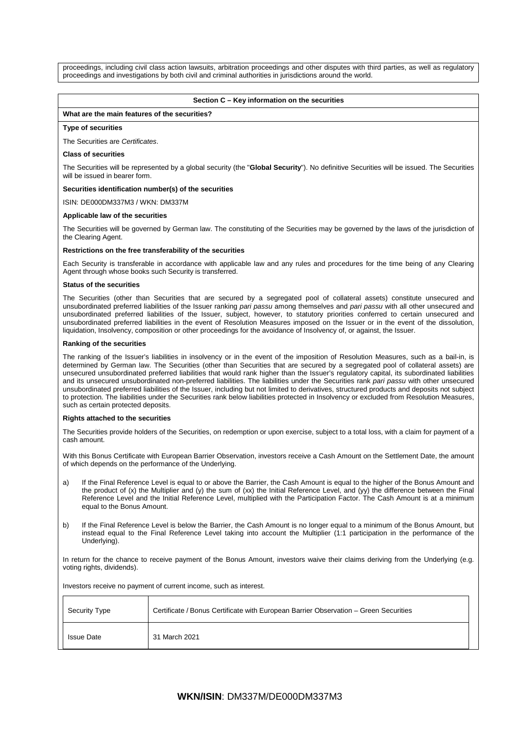proceedings, including civil class action lawsuits, arbitration proceedings and other disputes with third parties, as well as regulatory proceedings and investigations by both civil and criminal authorities in jurisdictions around the world.

### **Section C – Key information on the securities**

### **What are the main features of the securities?**

### **Type of securities**

The Securities are *Certificates*.

### **Class of securities**

The Securities will be represented by a global security (the "**Global Security**"). No definitive Securities will be issued. The Securities will be issued in bearer form.

**Securities identification number(s) of the securities**

ISIN: DE000DM337M3 / WKN: DM337M

### **Applicable law of the securities**

The Securities will be governed by German law. The constituting of the Securities may be governed by the laws of the jurisdiction of the Clearing Agent.

### **Restrictions on the free transferability of the securities**

Each Security is transferable in accordance with applicable law and any rules and procedures for the time being of any Clearing Agent through whose books such Security is transferred.

### **Status of the securities**

The Securities (other than Securities that are secured by a segregated pool of collateral assets) constitute unsecured and unsubordinated preferred liabilities of the Issuer ranking *pari passu* among themselves and *pari passu* with all other unsecured and unsubordinated preferred liabilities of the Issuer, subject, however, to statutory priorities conferred to certain unsecured and unsubordinated preferred liabilities in the event of Resolution Measures imposed on the Issuer or in the event of the dissolution, liquidation, Insolvency, composition or other proceedings for the avoidance of Insolvency of, or against, the Issuer.

### **Ranking of the securities**

The ranking of the Issuer's liabilities in insolvency or in the event of the imposition of Resolution Measures, such as a bail-in, is determined by German law. The Securities (other than Securities that are secured by a segregated pool of collateral assets) are unsecured unsubordinated preferred liabilities that would rank higher than the Issuer's regulatory capital, its subordinated liabilities and its unsecured unsubordinated non-preferred liabilities. The liabilities under the Securities rank *pari passu* with other unsecured unsubordinated preferred liabilities of the Issuer, including but not limited to derivatives, structured products and deposits not subject to protection. The liabilities under the Securities rank below liabilities protected in Insolvency or excluded from Resolution Measures, such as certain protected deposits.

### **Rights attached to the securities**

The Securities provide holders of the Securities, on redemption or upon exercise, subject to a total loss, with a claim for payment of a cash amount.

With this Bonus Certificate with European Barrier Observation, investors receive a Cash Amount on the Settlement Date, the amount of which depends on the performance of the Underlying.

- a) If the Final Reference Level is equal to or above the Barrier, the Cash Amount is equal to the higher of the Bonus Amount and the product of (x) the Multiplier and (y) the sum of (xx) the Initial Reference Level, and (yy) the difference between the Final Reference Level and the Initial Reference Level, multiplied with the Participation Factor. The Cash Amount is at a minimum equal to the Bonus Amount.
- b) If the Final Reference Level is below the Barrier, the Cash Amount is no longer equal to a minimum of the Bonus Amount, but instead equal to the Final Reference Level taking into account the Multiplier (1:1 participation in the performance of the Underlying).

In return for the chance to receive payment of the Bonus Amount, investors waive their claims deriving from the Underlying (e.g. voting rights, dividends).

Investors receive no payment of current income, such as interest.

| Security Type     | Certificate / Bonus Certificate with European Barrier Observation - Green Securities |
|-------------------|--------------------------------------------------------------------------------------|
| <b>Issue Date</b> | 31 March 2021                                                                        |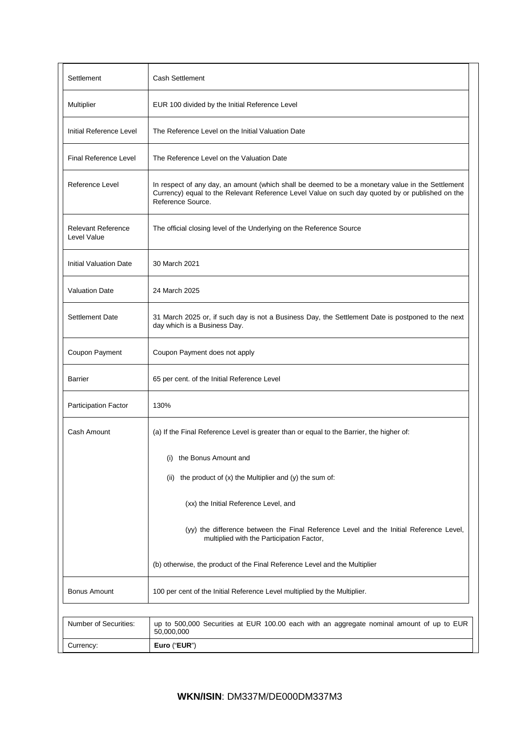| Settlement                               | <b>Cash Settlement</b>                                                                                                                                                                                                   |
|------------------------------------------|--------------------------------------------------------------------------------------------------------------------------------------------------------------------------------------------------------------------------|
| Multiplier                               | EUR 100 divided by the Initial Reference Level                                                                                                                                                                           |
| Initial Reference Level                  | The Reference Level on the Initial Valuation Date                                                                                                                                                                        |
| Final Reference Level                    | The Reference Level on the Valuation Date                                                                                                                                                                                |
| Reference Level                          | In respect of any day, an amount (which shall be deemed to be a monetary value in the Settlement<br>Currency) equal to the Relevant Reference Level Value on such day quoted by or published on the<br>Reference Source. |
| <b>Relevant Reference</b><br>Level Value | The official closing level of the Underlying on the Reference Source                                                                                                                                                     |
| <b>Initial Valuation Date</b>            | 30 March 2021                                                                                                                                                                                                            |
| <b>Valuation Date</b>                    | 24 March 2025                                                                                                                                                                                                            |
| <b>Settlement Date</b>                   | 31 March 2025 or, if such day is not a Business Day, the Settlement Date is postponed to the next<br>day which is a Business Day.                                                                                        |
| Coupon Payment                           | Coupon Payment does not apply                                                                                                                                                                                            |
| Barrier                                  | 65 per cent. of the Initial Reference Level                                                                                                                                                                              |
| Participation Factor                     | 130%                                                                                                                                                                                                                     |
| Cash Amount                              | (a) If the Final Reference Level is greater than or equal to the Barrier, the higher of:                                                                                                                                 |
|                                          | (i) the Bonus Amount and                                                                                                                                                                                                 |
|                                          | the product of (x) the Multiplier and (y) the sum of:<br>(ii)                                                                                                                                                            |
|                                          | (xx) the Initial Reference Level, and                                                                                                                                                                                    |
|                                          | (yy) the difference between the Final Reference Level and the Initial Reference Level,<br>multiplied with the Participation Factor,                                                                                      |
|                                          | (b) otherwise, the product of the Final Reference Level and the Multiplier                                                                                                                                               |
| <b>Bonus Amount</b>                      | 100 per cent of the Initial Reference Level multiplied by the Multiplier.                                                                                                                                                |
| Number of Securities:                    | up to 500,000 Securities at EUR 100.00 each with an aggregate nominal amount of up to EUR                                                                                                                                |
| Currency:                                | 50,000,000<br>Euro ("EUR")                                                                                                                                                                                               |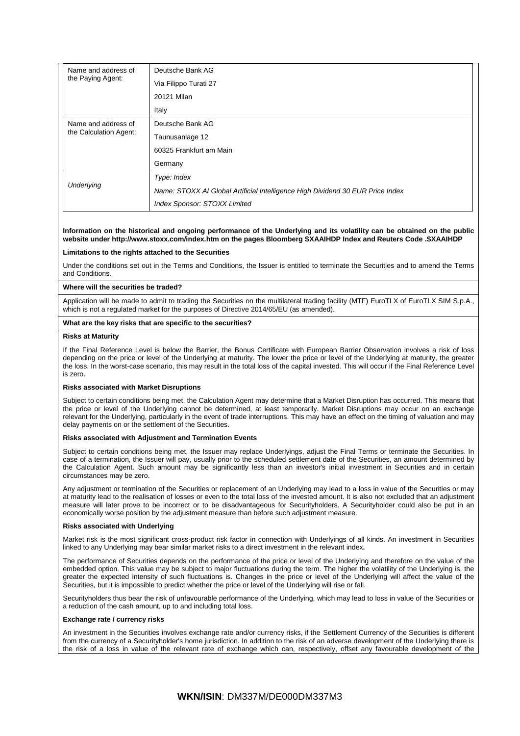| Name and address of<br>the Paying Agent:      | Deutsche Bank AG                                                               |
|-----------------------------------------------|--------------------------------------------------------------------------------|
|                                               | Via Filippo Turati 27                                                          |
|                                               | 20121 Milan                                                                    |
|                                               | Italy                                                                          |
| Name and address of<br>the Calculation Agent: | Deutsche Bank AG                                                               |
|                                               | Taunusanlage 12                                                                |
|                                               | 60325 Frankfurt am Main                                                        |
|                                               | Germany                                                                        |
| Underlying                                    | Type: Index                                                                    |
|                                               | Name: STOXX AI Global Artificial Intelligence High Dividend 30 EUR Price Index |
|                                               | Index Sponsor: STOXX Limited                                                   |

### **Information on the historical and ongoing performance of the Underlying and its volatility can be obtained on the public website under http://www.stoxx.com/index.htm on the pages Bloomberg SXAAIHDP Index and Reuters Code .SXAAIHDP**

### **Limitations to the rights attached to the Securities**

Under the conditions set out in the Terms and Conditions, the Issuer is entitled to terminate the Securities and to amend the Terms and Conditions.

### **Where will the securities be traded?**

Application will be made to admit to trading the Securities on the multilateral trading facility (MTF) EuroTLX of EuroTLX SIM S.p.A., which is not a regulated market for the purposes of Directive 2014/65/EU (as amended).

### **What are the key risks that are specific to the securities?**

### **Risks at Maturity**

If the Final Reference Level is below the Barrier, the Bonus Certificate with European Barrier Observation involves a risk of loss depending on the price or level of the Underlying at maturity. The lower the price or level of the Underlying at maturity, the greater the loss. In the worst-case scenario, this may result in the total loss of the capital invested. This will occur if the Final Reference Level is zero.

### **Risks associated with Market Disruptions**

Subject to certain conditions being met, the Calculation Agent may determine that a Market Disruption has occurred. This means that the price or level of the Underlying cannot be determined, at least temporarily. Market Disruptions may occur on an exchange relevant for the Underlying, particularly in the event of trade interruptions. This may have an effect on the timing of valuation and may delay payments on or the settlement of the Securities.

#### **Risks associated with Adjustment and Termination Events**

Subject to certain conditions being met, the Issuer may replace Underlyings, adjust the Final Terms or terminate the Securities. In case of a termination, the Issuer will pay, usually prior to the scheduled settlement date of the Securities, an amount determined by the Calculation Agent. Such amount may be significantly less than an investor's initial investment in Securities and in certain circumstances may be zero.

Any adjustment or termination of the Securities or replacement of an Underlying may lead to a loss in value of the Securities or may at maturity lead to the realisation of losses or even to the total loss of the invested amount. It is also not excluded that an adjustment measure will later prove to be incorrect or to be disadvantageous for Securityholders. A Securityholder could also be put in an economically worse position by the adjustment measure than before such adjustment measure.

#### **Risks associated with Underlying**

Market risk is the most significant cross-product risk factor in connection with Underlyings of all kinds. An investment in Securities linked to any Underlying may bear similar market risks to a direct investment in the relevant index**.**

The performance of Securities depends on the performance of the price or level of the Underlying and therefore on the value of the embedded option. This value may be subject to major fluctuations during the term. The higher the volatility of the Underlying is, the greater the expected intensity of such fluctuations is. Changes in the price or level of the Underlying will affect the value of the Securities, but it is impossible to predict whether the price or level of the Underlying will rise or fall.

Securityholders thus bear the risk of unfavourable performance of the Underlying, which may lead to loss in value of the Securities or a reduction of the cash amount, up to and including total loss.

#### **Exchange rate / currency risks**

An investment in the Securities involves exchange rate and/or currency risks, if the Settlement Currency of the Securities is different from the currency of a Securityholder's home jurisdiction. In addition to the risk of an adverse development of the Underlying there is the risk of a loss in value of the relevant rate of exchange which can, respectively, offset any favourable development of the

## **WKN/ISIN**: DM337M/DE000DM337M3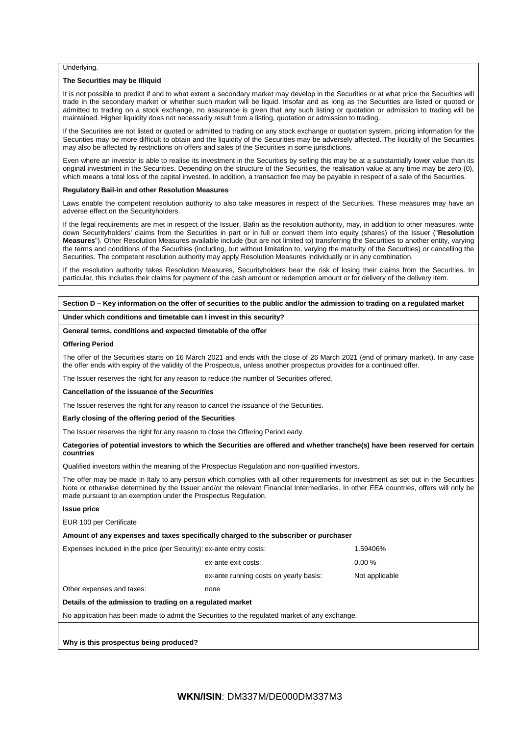### Underlying.

### **The Securities may be Illiquid**

It is not possible to predict if and to what extent a secondary market may develop in the Securities or at what price the Securities will trade in the secondary market or whether such market will be liquid. Insofar and as long as the Securities are listed or quoted or admitted to trading on a stock exchange, no assurance is given that any such listing or quotation or admission to trading will be maintained. Higher liquidity does not necessarily result from a listing, quotation or admission to trading.

If the Securities are not listed or quoted or admitted to trading on any stock exchange or quotation system, pricing information for the Securities may be more difficult to obtain and the liquidity of the Securities may be adversely affected. The liquidity of the Securities may also be affected by restrictions on offers and sales of the Securities in some jurisdictions.

Even where an investor is able to realise its investment in the Securities by selling this may be at a substantially lower value than its original investment in the Securities. Depending on the structure of the Securities, the realisation value at any time may be zero (0), which means a total loss of the capital invested. In addition, a transaction fee may be payable in respect of a sale of the Securities.

#### **Regulatory Bail-in and other Resolution Measures**

Laws enable the competent resolution authority to also take measures in respect of the Securities. These measures may have an adverse effect on the Securityholders.

If the legal requirements are met in respect of the Issuer, Bafin as the resolution authority, may, in addition to other measures, write down Securityholders' claims from the Securities in part or in full or convert them into equity (shares) of the Issuer ("**Resolution Measures**"). Other Resolution Measures available include (but are not limited to) transferring the Securities to another entity, varying the terms and conditions of the Securities (including, but without limitation to, varying the maturity of the Securities) or cancelling the Securities. The competent resolution authority may apply Resolution Measures individually or in any combination.

If the resolution authority takes Resolution Measures, Securityholders bear the risk of losing their claims from the Securities. In particular, this includes their claims for payment of the cash amount or redemption amount or for delivery of the delivery item.

### **Section D – Key information on the offer of securities to the public and/or the admission to trading on a regulated market**

**Under which conditions and timetable can I invest in this security?**

#### **General terms, conditions and expected timetable of the offer**

#### **Offering Period**

The offer of the Securities starts on 16 March 2021 and ends with the close of 26 March 2021 (end of primary market). In any case the offer ends with expiry of the validity of the Prospectus, unless another prospectus provides for a continued offer.

The Issuer reserves the right for any reason to reduce the number of Securities offered.

#### **Cancellation of the issuance of the** *Securities*

The Issuer reserves the right for any reason to cancel the issuance of the Securities.

#### **Early closing of the offering period of the Securities**

The Issuer reserves the right for any reason to close the Offering Period early.

### **Categories of potential investors to which the Securities are offered and whether tranche(s) have been reserved for certain countries**

Qualified investors within the meaning of the Prospectus Regulation and non-qualified investors.

The offer may be made in Italy to any person which complies with all other requirements for investment as set out in the Securities Note or otherwise determined by the Issuer and/or the relevant Financial Intermediaries. In other EEA countries, offers will only be made pursuant to an exemption under the Prospectus Regulation.

#### **Issue price**

EUR 100 per Certificate

**Amount of any expenses and taxes specifically charged to the subscriber or purchaser**

| Expenses included in the price (per Security): ex-ante entry costs:                           | 1.59406%                               |                |  |  |
|-----------------------------------------------------------------------------------------------|----------------------------------------|----------------|--|--|
|                                                                                               | ex-ante exit costs:                    | $0.00 \%$      |  |  |
|                                                                                               | ex-ante running costs on yearly basis: | Not applicable |  |  |
| Other expenses and taxes:                                                                     | none                                   |                |  |  |
| Details of the admission to trading on a regulated market                                     |                                        |                |  |  |
| No application has been made to admit the Securities to the regulated market of any exchange. |                                        |                |  |  |
|                                                                                               |                                        |                |  |  |

### **Why is this prospectus being produced?**